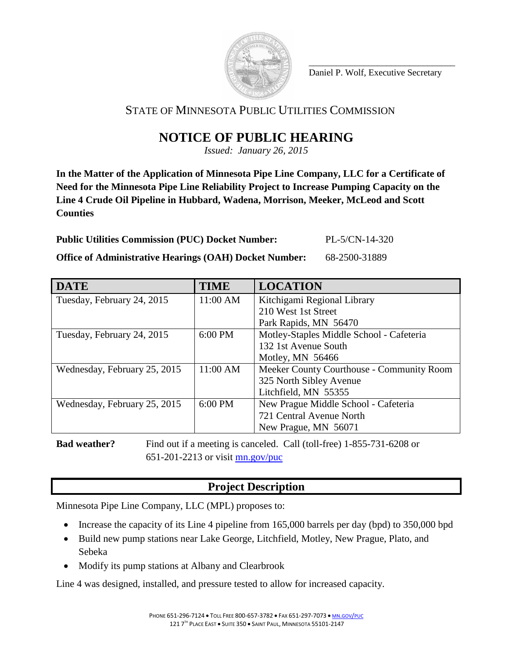

\_\_\_\_\_\_\_\_\_\_\_\_\_\_\_\_\_\_\_\_\_\_\_\_\_\_\_\_\_\_\_\_ Daniel P. Wolf, Executive Secretary

# STATE OF MINNESOTA PUBLIC UTILITIES COMMISSION

# **NOTICE OF PUBLIC HEARING**

*Issued: January 26, 2015*

**In the Matter of the Application of Minnesota Pipe Line Company, LLC for a Certificate of Need for the Minnesota Pipe Line Reliability Project to Increase Pumping Capacity on the Line 4 Crude Oil Pipeline in Hubbard, Wadena, Morrison, Meeker, McLeod and Scott Counties**

**Public Utilities Commission (PUC) Docket Number:** PL-5/CN-14-320

**Office of Administrative Hearings (OAH) Docket Number:** 68-2500-31889

| <b>DATE</b>                  | <b>TIME</b> | <b>LOCATION</b>                           |
|------------------------------|-------------|-------------------------------------------|
| Tuesday, February 24, 2015   | 11:00 AM    | Kitchigami Regional Library               |
|                              |             | 210 West 1st Street                       |
|                              |             | Park Rapids, MN 56470                     |
| Tuesday, February 24, 2015   | 6:00 PM     | Motley-Staples Middle School - Cafeteria  |
|                              |             | 132 1st Avenue South                      |
|                              |             | Motley, MN 56466                          |
| Wednesday, February 25, 2015 | 11:00 AM    | Meeker County Courthouse - Community Room |
|                              |             | 325 North Sibley Avenue                   |
|                              |             | Litchfield, MN 55355                      |
| Wednesday, February 25, 2015 | 6:00 PM     | New Prague Middle School - Cafeteria      |
|                              |             | 721 Central Avenue North                  |
|                              |             | New Prague, MN 56071                      |

**Bad weather?** Find out if a meeting is canceled. Call (toll-free) 1-855-731-6208 or 651-201-2213 or visit [mn.gov/puc](http://mn.gov/puc/)

# **Project Description**

Minnesota Pipe Line Company, LLC (MPL) proposes to:

- Increase the capacity of its Line 4 pipeline from 165,000 barrels per day (bpd) to 350,000 bpd
- Build new pump stations near Lake George, Litchfield, Motley, New Prague, Plato, and Sebeka
- Modify its pump stations at Albany and Clearbrook

Line 4 was designed, installed, and pressure tested to allow for increased capacity.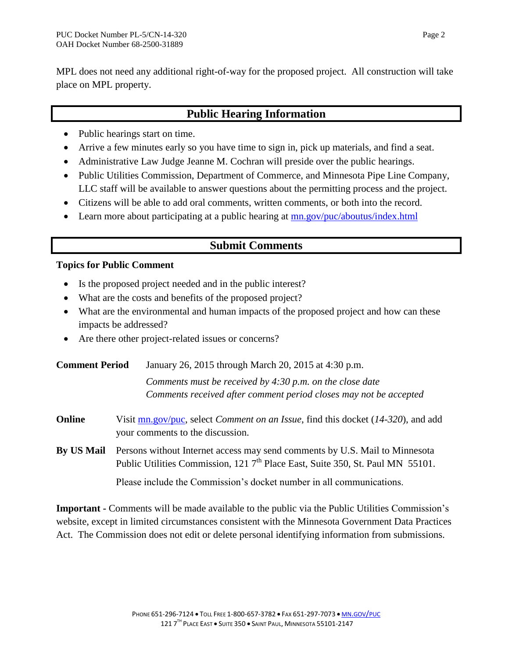MPL does not need any additional right-of-way for the proposed project. All construction will take place on MPL property.

### **Public Hearing Information**

- Public hearings start on time.
- Arrive a few minutes early so you have time to sign in, pick up materials, and find a seat.
- Administrative Law Judge Jeanne M. Cochran will preside over the public hearings.
- Public Utilities Commission, Department of Commerce, and Minnesota Pipe Line Company, LLC staff will be available to answer questions about the permitting process and the project.
- Citizens will be able to add oral comments, written comments, or both into the record.
- Learn more about participating at a public hearing at  $\frac{mn\,gov/puc/aboutus/index.html}{mm}$

## **Submit Comments**

### **Topics for Public Comment**

- Is the proposed project needed and in the public interest?
- What are the costs and benefits of the proposed project?
- What are the environmental and human impacts of the proposed project and how can these impacts be addressed?
- Are there other project-related issues or concerns?

| <b>Comment Period</b> | January 26, 2015 through March 20, 2015 at 4:30 p.m.                                                                                                                      |  |
|-----------------------|---------------------------------------------------------------------------------------------------------------------------------------------------------------------------|--|
|                       | Comments must be received by $4:30$ p.m. on the close date<br>Comments received after comment period closes may not be accepted                                           |  |
| Online                | Visit $\text{mn.gov/puc}$ , select <i>Comment on an Issue</i> , find this docket (14-320), and add<br>your comments to the discussion.                                    |  |
| <b>By US Mail</b>     | Persons without Internet access may send comments by U.S. Mail to Minnesota<br>Public Utilities Commission, 121 7 <sup>th</sup> Place East, Suite 350, St. Paul MN 55101. |  |
|                       | Please include the Commission's docket number in all communications.                                                                                                      |  |

**Important -** Comments will be made available to the public via the Public Utilities Commission's website, except in limited circumstances consistent with the Minnesota Government Data Practices Act. The Commission does not edit or delete personal identifying information from submissions.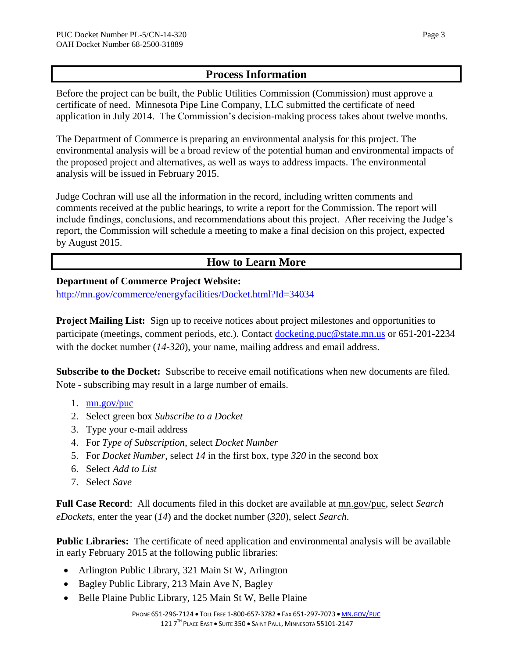### **Process Information**

Before the project can be built, the Public Utilities Commission (Commission) must approve a certificate of need. Minnesota Pipe Line Company, LLC submitted the certificate of need application in July 2014. The Commission's decision-making process takes about twelve months.

The Department of Commerce is preparing an environmental analysis for this project. The environmental analysis will be a broad review of the potential human and environmental impacts of the proposed project and alternatives, as well as ways to address impacts. The environmental analysis will be issued in February 2015.

Judge Cochran will use all the information in the record, including written comments and comments received at the public hearings, to write a report for the Commission. The report will include findings, conclusions, and recommendations about this project. After receiving the Judge's report, the Commission will schedule a meeting to make a final decision on this project, expected by August 2015.

# **How to Learn More**

### **Department of Commerce Project Website:**

<http://mn.gov/commerce/energyfacilities/Docket.html?Id=34034>

**Project Mailing List:** Sign up to receive notices about project milestones and opportunities to participate (meetings, comment periods, etc.). Contact [docketing.puc@state.mn.us](mailto:docketing.puc@state.mn.us) or 651-201-2234 with the docket number (14-320), your name, mailing address and email address.

**Subscribe to the Docket:** Subscribe to receive email notifications when new documents are filed. Note - subscribing may result in a large number of emails.

- 1. [mn.gov/puc](http://mn.gov/puc/)
- 2. Select green box *Subscribe to a Docket*
- 3. Type your e-mail address
- 4. For *Type of Subscription*, select *Docket Number*
- 5. For *Docket Number*, select *14* in the first box, type *320* in the second box
- 6. Select *Add to List*
- 7. Select *Save*

**Full Case Record**: All documents filed in this docket are available at [mn.gov/puc,](http://mn.gov/puc/) select *Search eDockets*, enter the year (*14*) and the docket number (*320*), select *Search*.

**Public Libraries:** The certificate of need application and environmental analysis will be available in early February 2015 at the following public libraries:

- Arlington Public Library, 321 Main St W, Arlington
- Bagley Public Library, 213 Main Ave N, Bagley
- Belle Plaine Public Library, 125 Main St W, Belle Plaine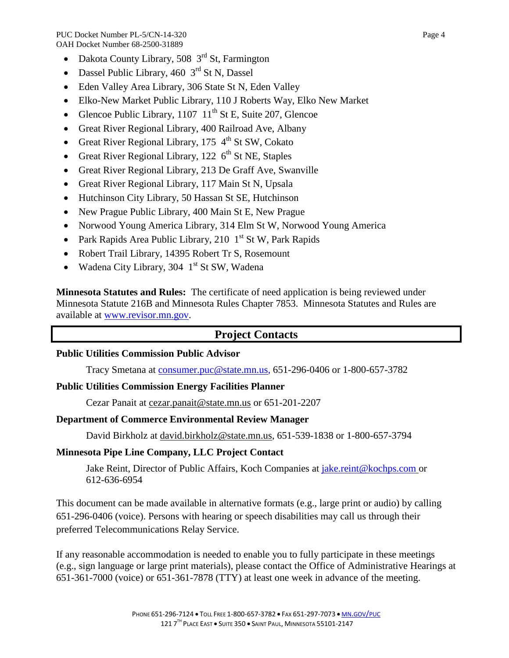PUC Docket Number PL-5/CN-14-320 Page 4 OAH Docket Number 68-2500-31889

- Dakota County Library, 508  $3<sup>rd</sup>$  St, Farmington
- Dassel Public Library,  $460 \, 3^{rd}$  St N, Dassel
- Eden Valley Area Library, 306 State St N, Eden Valley
- Elko-New Market Public Library, 110 J Roberts Way, Elko New Market
- Glencoe Public Library,  $1107 \text{ 11}^{\text{th}}$  St E, Suite 207, Glencoe
- Great River Regional Library, 400 Railroad Ave, Albany
- Great River Regional Library, 175  $4<sup>th</sup>$  St SW, Cokato
- Great River Regional Library, 122  $6<sup>th</sup>$  St NE, Staples
- Great River Regional Library, 213 De Graff Ave, Swanville
- Great River Regional Library, 117 Main St N, Upsala
- Hutchinson City Library, 50 Hassan St SE, Hutchinson
- New Prague Public Library, 400 Main St E, New Prague
- Norwood Young America Library, 314 Elm St W, Norwood Young America
- Park Rapids Area Public Library, 210  $1<sup>st</sup>$  St W, Park Rapids
- Robert Trail Library, 14395 Robert Tr S, Rosemount
- Wadena City Library, 304  $1<sup>st</sup>$  St SW, Wadena

**Minnesota Statutes and Rules:** The certificate of need application is being reviewed under Minnesota Statute 216B and Minnesota Rules Chapter 7853. Minnesota Statutes and Rules are available at [www.revisor.mn.gov.](https://www.revisor.mn.gov/)

### **Project Contacts**

### **Public Utilities Commission Public Advisor**

Tracy Smetana at [consumer.puc@state.mn.us,](mailto:consumer.puc@state.mn.us) 651-296-0406 or 1-800-657-3782

### **Public Utilities Commission Energy Facilities Planner**

Cezar Panait at cezar.panait@state.mn.us or 651-201-2207

### **Department of Commerce Environmental Review Manager**

David Birkholz at david.birkholz@state.mn.us, 651-539-1838 or 1-800-657-3794

### **Minnesota Pipe Line Company, LLC Project Contact**

Jake Reint, Director of Public Affairs, Koch Companies at [jake.reint@kochps.com](mailto:jake.reint@kochps.com) or 612-636-6954

This document can be made available in alternative formats (e.g., large print or audio) by calling 651-296-0406 (voice). Persons with hearing or speech disabilities may call us through their preferred Telecommunications Relay Service.

If any reasonable accommodation is needed to enable you to fully participate in these meetings (e.g., sign language or large print materials), please contact the Office of Administrative Hearings at 651-361-7000 (voice) or 651-361-7878 (TTY) at least one week in advance of the meeting.